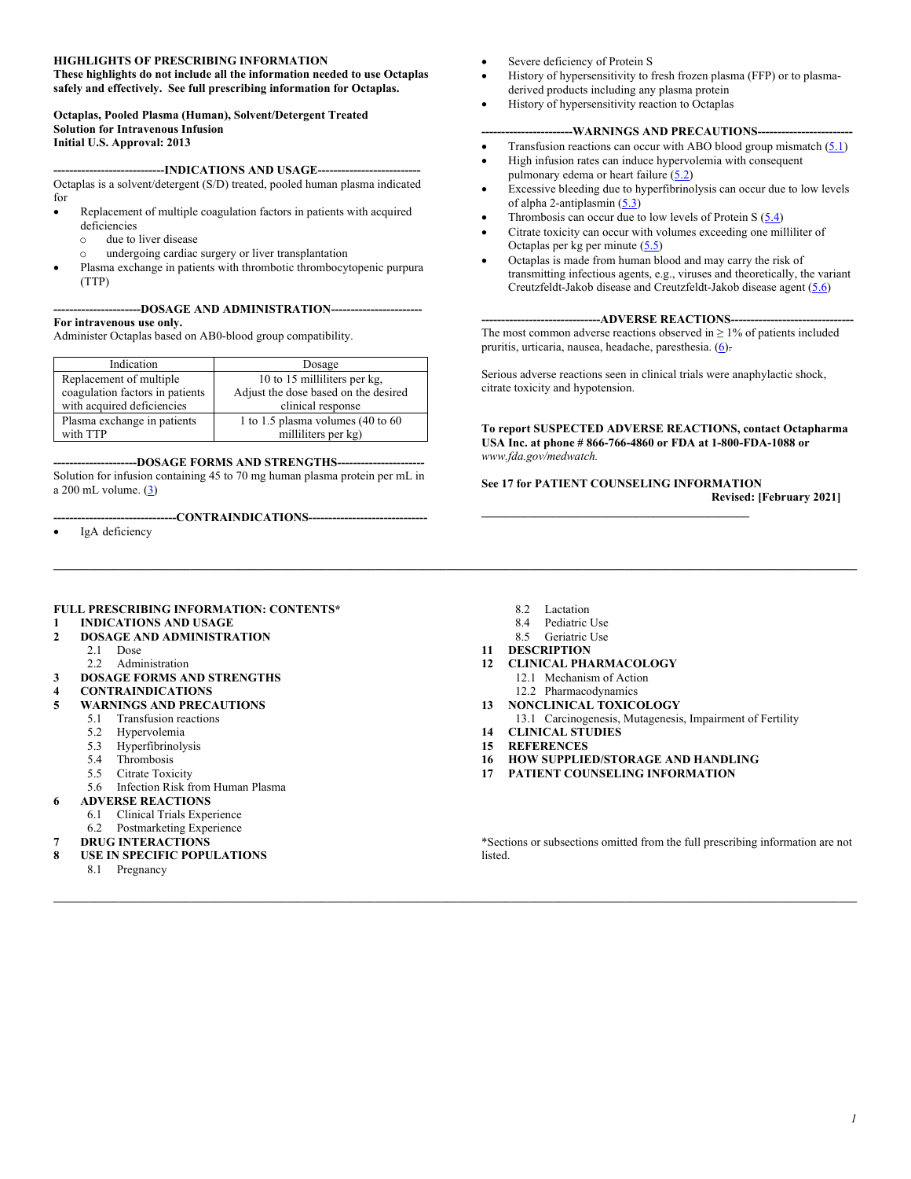#### **HIGHLIGHTS OF PRESCRIBING INFORMATION**

**These highlights do not include all the information needed to use Octaplas safely and effectively. See full prescribing information for Octaplas.**

#### **Octaplas, Pooled Plasma (Human), Solvent/Detergent Treated Solution for Intravenous Infusion Initial U.S. Approval: 2013**

**----------------------------INDICATIONS AND USAGE--------------------------** Octaplas is a solvent/detergent (S/D) treated, pooled human plasma indicated for

- Replacement of multiple coagulation factors in patients with acquired deficiencies
	- $\circ$  due to liver disease
	- undergoing cardiac surgery or liver transplantation
- Plasma exchange in patients with thrombotic thrombocytopenic purpura (TTP)

#### **----------------------DOSAGE AND ADMINISTRATION----------------------- For intravenous use only.**

Administer Octaplas based on AB0-blood group compatibility.

| Indication                      | Dosage                               |  |
|---------------------------------|--------------------------------------|--|
| Replacement of multiple         | 10 to 15 milliliters per kg,         |  |
| coagulation factors in patients | Adjust the dose based on the desired |  |
| with acquired deficiencies      | clinical response                    |  |
| Plasma exchange in patients     | 1 to 1.5 plasma volumes (40 to 60    |  |
| with TTP                        | milliliters per kg)                  |  |

**---------------------DOSAGE FORMS AND STRENGTHS----------------------** Solution for infusion containing 45 to 70 mg human plasma protein per mL in a 200 mL volume. [\(3\)](#page-1-0)

**-------------------------------CONTRAINDICATIONS------------------------------**

IgA deficiency

- Severe deficiency of Protein S
- History of hypersensitivity to fresh frozen plasma (FFP) or to plasmaderived products including any plasma protein
- History of hypersensitivity reaction to Octaplas

#### **-WARNINGS AND PRECAUTIONS------**

- Transfusion reactions can occur with ABO blood group mismatch  $(5.1)$
- High infusion rates can induce hypervolemia with consequent pulmonary edema or heart failure [\(5.2\)](#page-2-0)
- Excessive bleeding due to hyperfibrinolysis can occur due to low levels of alpha 2-antiplasmin (5.3)
- Thrombosis can occur due to low levels of Protein S [\(5.4\)](#page-2-1)
- Citrate toxicity can occur with volumes exceeding one milliliter of Octaplas per kg per minute  $(5.5)$
- Octaplas is made from human blood and may carry the risk of transmitting infectious agents, e.g., viruses and theoretically, the variant Creutzfeldt-Jakob disease and Creutzfeldt-Jakob disease agent [\(5.6\)](#page-2-3)

#### **------------------------------ADVERSE REACTIONS-------------------------------**

The most common adverse reactions observed in  $\geq 1\%$  of patients included pruritis, urticaria, nausea, headache, paresthesia. [\(6\)](#page-2-4).

Serious adverse reactions seen in clinical trials were anaphylactic shock, citrate toxicity and hypotension.

**To report SUSPECTED ADVERSE REACTIONS, contact Octapharma USA Inc. at phone # 866-766-4860 or FDA at 1-800-FDA-1088 or**  *www.fda.gov/medwatch.*

**See 17 for PATIENT COUNSELING INFORMATION Revised: [February 2021]**

**\_\_\_\_\_\_\_\_\_\_\_\_\_\_\_\_\_\_\_\_\_\_\_\_\_\_\_\_\_\_\_\_\_\_\_\_\_\_\_\_\_\_\_\_\_**

- **FULL PRESCRIBING INFORMATION: CONTENTS\***
- **1 [INDICATIONS AND USAGE](#page-1-1)**
- **[2](#page-1-2) [DOSAGE AND ADMINISTRATION](#page-1-2)**
- 2.1 [Dose](#page-1-3)
	- 2.2 [Administration](#page-1-4)
- **[3](#page-1-0) [DOSAGE FORMS AND STRENGTHS](#page-1-0)**
- **[4](#page-2-5) [CONTRAINDICATIONS](#page-2-5)**
- **[WARNINGS AND PRECAUTIONS](#page-2-6)**<br>[5](#page-2-6).1 Transfusion reactions
	- [Transfusion reactions](#page-2-7)
	- 5.2 [Hypervolemia](#page-2-0)<br>5.3 Hyperfibrinoly
	- 5.3 [Hyperfibrinolysis](#page-2-8)
	- 5.4 [Thrombosis](#page-2-1)
	- 5.5 [Citrate Toxicity](#page-2-2)
- 5.6 [Infection Risk from Human Plasma](#page-2-3)
- **[6](#page-2-9) [ADVERSE REACTIONS](#page-2-9)**
	- 6.1 [Clinical Trials Experience](#page-2-4)
	- 6.2 [Postmarketing Experience](#page-2-10)
- **[7](#page-3-0) [DRUG INTERACTIONS](#page-3-0)**
- **[8](#page-3-1) [USE IN SPECIFIC POPULATIONS](#page-3-1)**
	- 8.1 [Pregnancy](#page-3-2)
- 8.2 [Lactation](#page-3-3)
- 8.4 [Pediatric Use](#page-3-4)
- 8.5 [Geriatric Use](#page-3-5)
- **[11](#page-3-6) [DESCRIPTION](#page-3-6)**

**\_\_\_\_\_\_\_\_\_\_\_\_\_\_\_\_\_\_\_\_\_\_\_\_\_\_\_\_\_\_\_\_\_\_\_\_\_\_\_\_\_\_\_\_\_\_\_\_\_\_\_\_\_\_\_\_\_\_\_\_\_\_\_\_\_\_\_\_\_\_\_\_\_\_\_\_\_\_\_\_\_\_\_\_\_\_\_\_\_\_\_\_\_\_\_\_\_\_\_\_\_\_\_\_\_\_\_\_\_\_\_\_\_\_\_\_\_\_\_\_\_\_\_\_\_\_\_\_\_\_\_\_\_\_\_**

**\_\_\_\_\_\_\_\_\_\_\_\_\_\_\_\_\_\_\_\_\_\_\_\_\_\_\_\_\_\_\_\_\_\_\_\_\_\_\_\_\_\_\_\_\_\_\_\_\_\_\_\_\_\_\_\_\_\_\_\_\_\_\_\_\_\_\_\_\_\_\_\_\_\_\_\_\_\_\_\_\_\_\_\_\_\_\_\_\_\_\_\_\_\_\_\_\_\_\_\_\_\_\_\_\_\_\_\_\_\_\_\_\_\_\_\_\_\_\_\_\_\_\_\_\_\_\_\_\_\_\_\_\_\_\_**

- **[12](#page-4-0) [CLINICAL PHARMACOLOGY](#page-4-0)**
	- 12.1 [Mechanism of Action](#page-4-1)
	- 12.2 [Pharmacodynamics](#page-4-2)
- **[13](#page-4-3) [NONCLINICAL TOXICOLOGY](#page-4-3)**
	- 13.1 [Carcinogenesis, Mutagenesis, Impairment of Fertility](#page-4-4)
- **[14](#page-5-0) [CLINICAL STUDIES](#page-5-0)**
- **[15](#page-7-0) [REFERENCES](#page-7-0)**
- **[16](#page-7-1) [HOW SUPPLIED/STORAGE AND HANDLING](#page-7-1) [17](#page-8-0) [PATIENT COUNSELING INFORMATION](#page-8-0)**
- 

\*Sections or subsections omitted from the full prescribing information are not listed.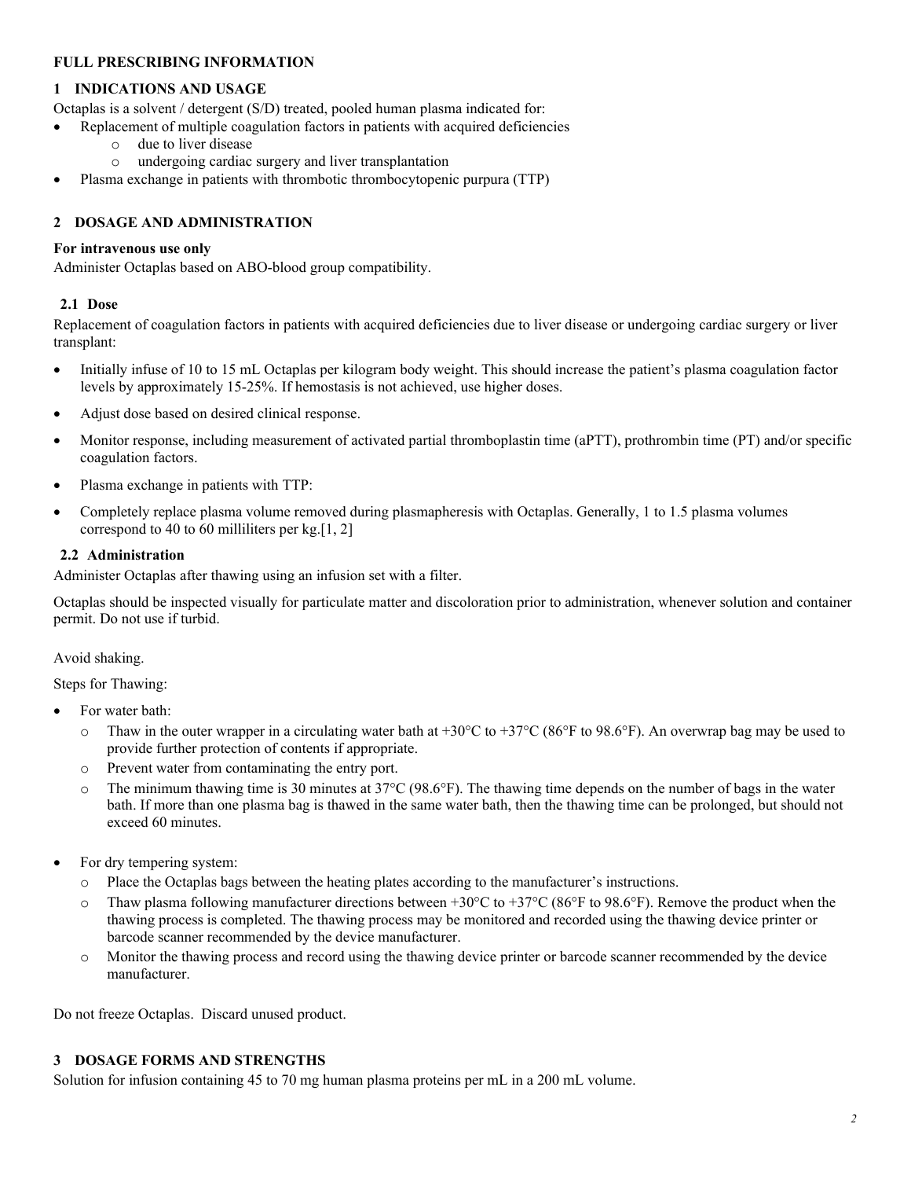# **FULL PRESCRIBING INFORMATION**

# <span id="page-1-1"></span>**1 INDICATIONS AND USAGE**

Octaplas is a solvent / detergent (S/D) treated, pooled human plasma indicated for:

- Replacement of multiple coagulation factors in patients with acquired deficiencies
	- $\circ$  due to liver disease<br> $\circ$  undergoing cardiac
	- undergoing cardiac surgery and liver transplantation
- Plasma exchange in patients with thrombotic thrombocytopenic purpura (TTP)

# <span id="page-1-2"></span>**2 DOSAGE AND ADMINISTRATION**

# **For intravenous use only**

Administer Octaplas based on ABO-blood group compatibility.

# <span id="page-1-3"></span>**2.1 Dose**

Replacement of coagulation factors in patients with acquired deficiencies due to liver disease or undergoing cardiac surgery or liver transplant:

- Initially infuse of 10 to 15 mL Octaplas per kilogram body weight. This should increase the patient's plasma coagulation factor levels by approximately 15-25%. If hemostasis is not achieved, use higher doses.
- Adjust dose based on desired clinical response.
- Monitor response, including measurement of activated partial thromboplastin time (aPTT), prothrombin time (PT) and/or specific coagulation factors.
- Plasma exchange in patients with TTP:
- Completely replace plasma volume removed during plasmapheresis with Octaplas. Generally, 1 to 1.5 plasma volumes correspond to 40 to 60 milliliters per  $kg$ [\[1,](#page-7-2) [2\]](#page-7-3)

# <span id="page-1-4"></span>**2.2 Administration**

Administer Octaplas after thawing using an infusion set with a filter.

Octaplas should be inspected visually for particulate matter and discoloration prior to administration, whenever solution and container permit. Do not use if turbid.

# Avoid shaking.

Steps for Thawing:

- For water bath:
	- $\circ$  Thaw in the outer wrapper in a circulating water bath at +30°C to +37°C (86°F to 98.6°F). An overwrap bag may be used to provide further protection of contents if appropriate.
	- o Prevent water from contaminating the entry port.
	- $\circ$  The minimum thawing time is 30 minutes at 37°C (98.6°F). The thawing time depends on the number of bags in the water bath. If more than one plasma bag is thawed in the same water bath, then the thawing time can be prolonged, but should not exceed 60 minutes.
- For dry tempering system:
	- o Place the Octaplas bags between the heating plates according to the manufacturer's instructions.
	- Thaw plasma following manufacturer directions between  $+30^{\circ}$ C to  $+37^{\circ}$ C (86°F to 98.6°F). Remove the product when the thawing process is completed. The thawing process may be monitored and recorded using the thawing device printer or barcode scanner recommended by the device manufacturer.
	- o Monitor the thawing process and record using the thawing device printer or barcode scanner recommended by the device manufacturer.

Do not freeze Octaplas. Discard unused product.

# <span id="page-1-0"></span>**3 DOSAGE FORMS AND STRENGTHS**

Solution for infusion containing 45 to 70 mg human plasma proteins per mL in a 200 mL volume.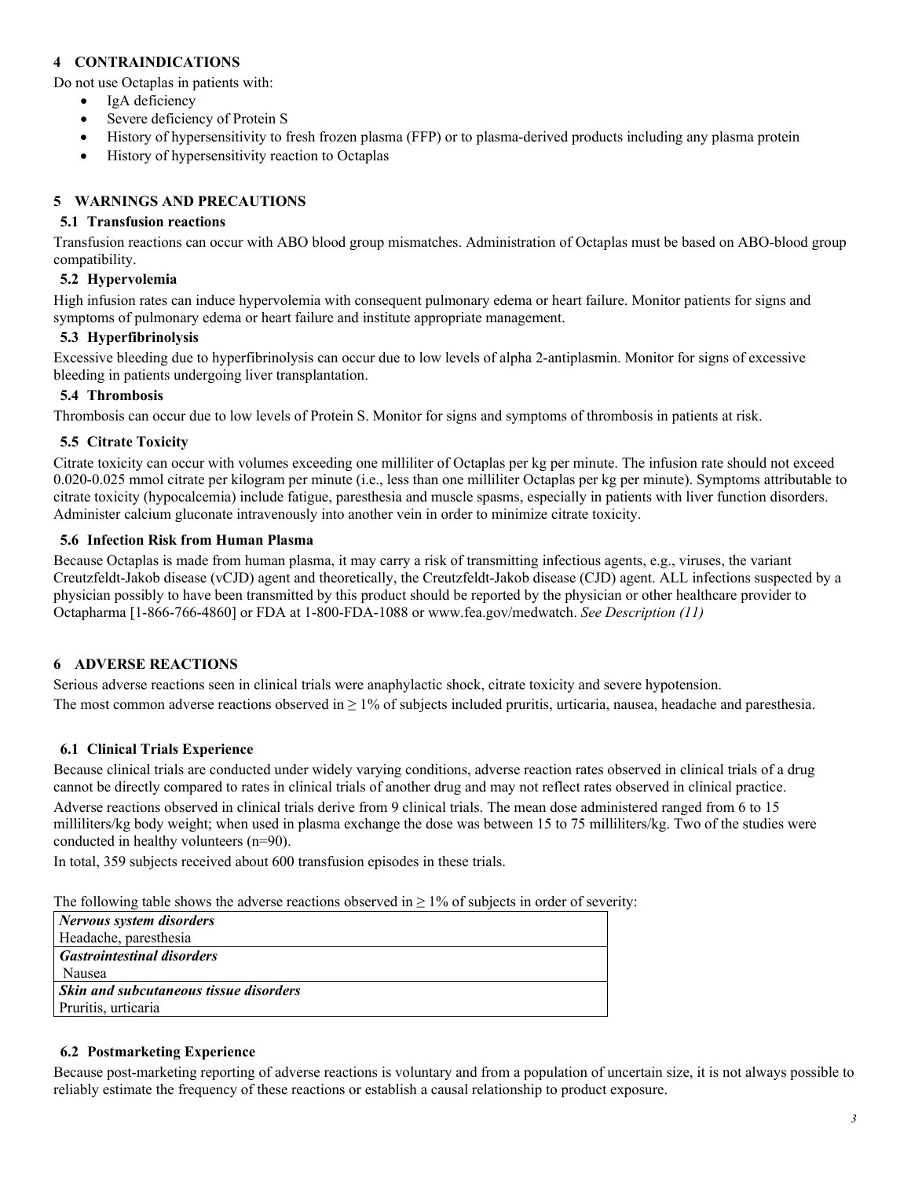# <span id="page-2-5"></span>**4 CONTRAINDICATIONS**

Do not use Octaplas in patients with:

- IgA deficiency
- Severe deficiency of Protein S
- History of hypersensitivity to fresh frozen plasma (FFP) or to plasma-derived products including any plasma protein
- History of hypersensitivity reaction to Octaplas

### <span id="page-2-6"></span>**5 WARNINGS AND PRECAUTIONS**

#### <span id="page-2-7"></span>**5.1 Transfusion reactions**

Transfusion reactions can occur with ABO blood group mismatches. Administration of Octaplas must be based on ABO-blood group compatibility.

#### <span id="page-2-0"></span>**5.2 Hypervolemia**

High infusion rates can induce hypervolemia with consequent pulmonary edema or heart failure. Monitor patients for signs and symptoms of pulmonary edema or heart failure and institute appropriate management.

#### <span id="page-2-8"></span>**5.3 Hyperfibrinolysis**

Excessive bleeding due to hyperfibrinolysis can occur due to low levels of alpha 2-antiplasmin. Monitor for signs of excessive bleeding in patients undergoing liver transplantation.

#### <span id="page-2-1"></span>**5.4 Thrombosis**

Thrombosis can occur due to low levels of Protein S. Monitor for signs and symptoms of thrombosis in patients at risk.

#### <span id="page-2-2"></span>**5.5 Citrate Toxicity**

Citrate toxicity can occur with volumes exceeding one milliliter of Octaplas per kg per minute. The infusion rate should not exceed 0.020-0.025 mmol citrate per kilogram per minute (i.e., less than one milliliter Octaplas per kg per minute). Symptoms attributable to citrate toxicity (hypocalcemia) include fatigue, paresthesia and muscle spasms, especially in patients with liver function disorders. Administer calcium gluconate intravenously into another vein in order to minimize citrate toxicity.

### <span id="page-2-3"></span>**5.6 Infection Risk from Human Plasma**

Because Octaplas is made from human plasma, it may carry a risk of transmitting infectious agents, e.g., viruses, the variant Creutzfeldt-Jakob disease (vCJD) agent and theoretically, the Creutzfeldt-Jakob disease (CJD) agent. ALL infections suspected by a physician possibly to have been transmitted by this product should be reported by the physician or other healthcare provider to Octapharma [1-866-766-4860] or FDA at 1-800-FDA-1088 or www.fea.gov/medwatch. *See Description [\(11\)](#page-3-6)*

#### <span id="page-2-9"></span>**6 ADVERSE REACTIONS**

Serious adverse reactions seen in clinical trials were anaphylactic shock, citrate toxicity and severe hypotension. The most common adverse reactions observed in  $\geq 1\%$  of subjects included pruritis, urticaria, nausea, headache and paresthesia.

#### <span id="page-2-4"></span>**6.1 Clinical Trials Experience**

Because clinical trials are conducted under widely varying conditions, adverse reaction rates observed in clinical trials of a drug cannot be directly compared to rates in clinical trials of another drug and may not reflect rates observed in clinical practice. Adverse reactions observed in clinical trials derive from 9 clinical trials. The mean dose administered ranged from 6 to 15 milliliters/kg body weight; when used in plasma exchange the dose was between 15 to 75 milliliters/kg. Two of the studies were conducted in healthy volunteers (n=90).

In total, 359 subjects received about 600 transfusion episodes in these trials.

The following table shows the adverse reactions observed in  $\geq$  1% of subjects in order of severity:

| Nervous system disorders               |
|----------------------------------------|
| Headache, paresthesia                  |
| <b>Gastrointestinal disorders</b>      |
| Nausea                                 |
| Skin and subcutaneous tissue disorders |
| Pruritis, urticaria                    |

#### <span id="page-2-10"></span>**6.2 Postmarketing Experience**

Because post-marketing reporting of adverse reactions is voluntary and from a population of uncertain size, it is not always possible to reliably estimate the frequency of these reactions or establish a causal relationship to product exposure.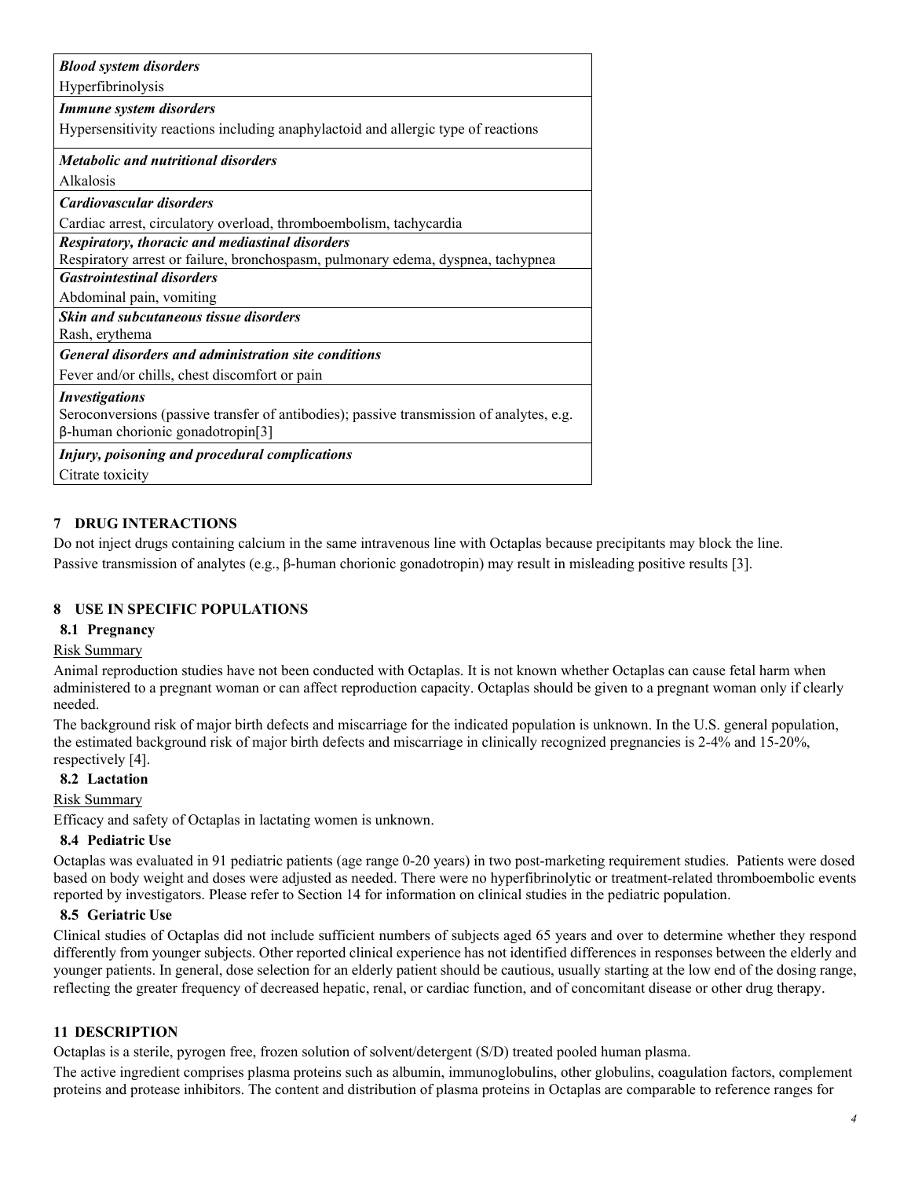| <b>Blood system disorders</b>                                                            |
|------------------------------------------------------------------------------------------|
| Hyperfibrinolysis                                                                        |
| <b>Immune system disorders</b>                                                           |
| Hypersensitivity reactions including anaphylactoid and allergic type of reactions        |
| <i>Metabolic and nutritional disorders</i>                                               |
| Alkalosis                                                                                |
| Cardiovascular disorders                                                                 |
| Cardiac arrest, circulatory overload, thromboembolism, tachycardia                       |
| <b>Respiratory, thoracic and mediastinal disorders</b>                                   |
| Respiratory arrest or failure, bronchospasm, pulmonary edema, dyspnea, tachypnea         |
| <b>Gastrointestinal disorders</b>                                                        |
| Abdominal pain, vomiting                                                                 |
| <b>Skin and subcutaneous tissue disorders</b>                                            |
| Rash, erythema                                                                           |
| <b>General disorders and administration site conditions</b>                              |
| Fever and/or chills, chest discomfort or pain                                            |
| <b>Investigations</b>                                                                    |
| Seroconversions (passive transfer of antibodies); passive transmission of analytes, e.g. |
| $\beta$ -human chorionic gonadotropin[3]                                                 |
| Injury, poisoning and procedural complications                                           |
| Citrate toxicity                                                                         |

# <span id="page-3-0"></span>**7 DRUG INTERACTIONS**

Do not inject drugs containing calcium in the same intravenous line with Octaplas because precipitants may block the line. Passive transmission of analytes (e.g., β-human chorionic gonadotropin) may result in misleading positive results [\[3\]](#page-7-4).

# <span id="page-3-1"></span>**8 USE IN SPECIFIC POPULATIONS**

## <span id="page-3-2"></span>**8.1 Pregnancy**

#### Risk Summary

Animal reproduction studies have not been conducted with Octaplas. It is not known whether Octaplas can cause fetal harm when administered to a pregnant woman or can affect reproduction capacity. Octaplas should be given to a pregnant woman only if clearly needed.

The background risk of major birth defects and miscarriage for the indicated population is unknown. In the U.S. general population, the estimated background risk of major birth defects and miscarriage in clinically recognized pregnancies is 2-4% and 15-20%, respectively [\[4\]](#page-7-5).

# <span id="page-3-3"></span>**8.2 Lactation**

#### Risk Summary

Efficacy and safety of Octaplas in lactating women is unknown.

#### <span id="page-3-4"></span>**8.4 Pediatric Use**

Octaplas was evaluated in 91 pediatric patients (age range 0-20 years) in two post-marketing requirement studies. Patients were dosed based on body weight and doses were adjusted as needed. There were no hyperfibrinolytic or treatment-related thromboembolic events reported by investigators. Please refer to Section 14 for information on clinical studies in the pediatric population.

#### <span id="page-3-5"></span>**8.5 Geriatric Use**

Clinical studies of Octaplas did not include sufficient numbers of subjects aged 65 years and over to determine whether they respond differently from younger subjects. Other reported clinical experience has not identified differences in responses between the elderly and younger patients. In general, dose selection for an elderly patient should be cautious, usually starting at the low end of the dosing range, reflecting the greater frequency of decreased hepatic, renal, or cardiac function, and of concomitant disease or other drug therapy.

# <span id="page-3-6"></span>**11 DESCRIPTION**

Octaplas is a sterile, pyrogen free, frozen solution of solvent/detergent (S/D) treated pooled human plasma.

The active ingredient comprises plasma proteins such as albumin, immunoglobulins, other globulins, coagulation factors, complement proteins and protease inhibitors. The content and distribution of plasma proteins in Octaplas are comparable to reference ranges for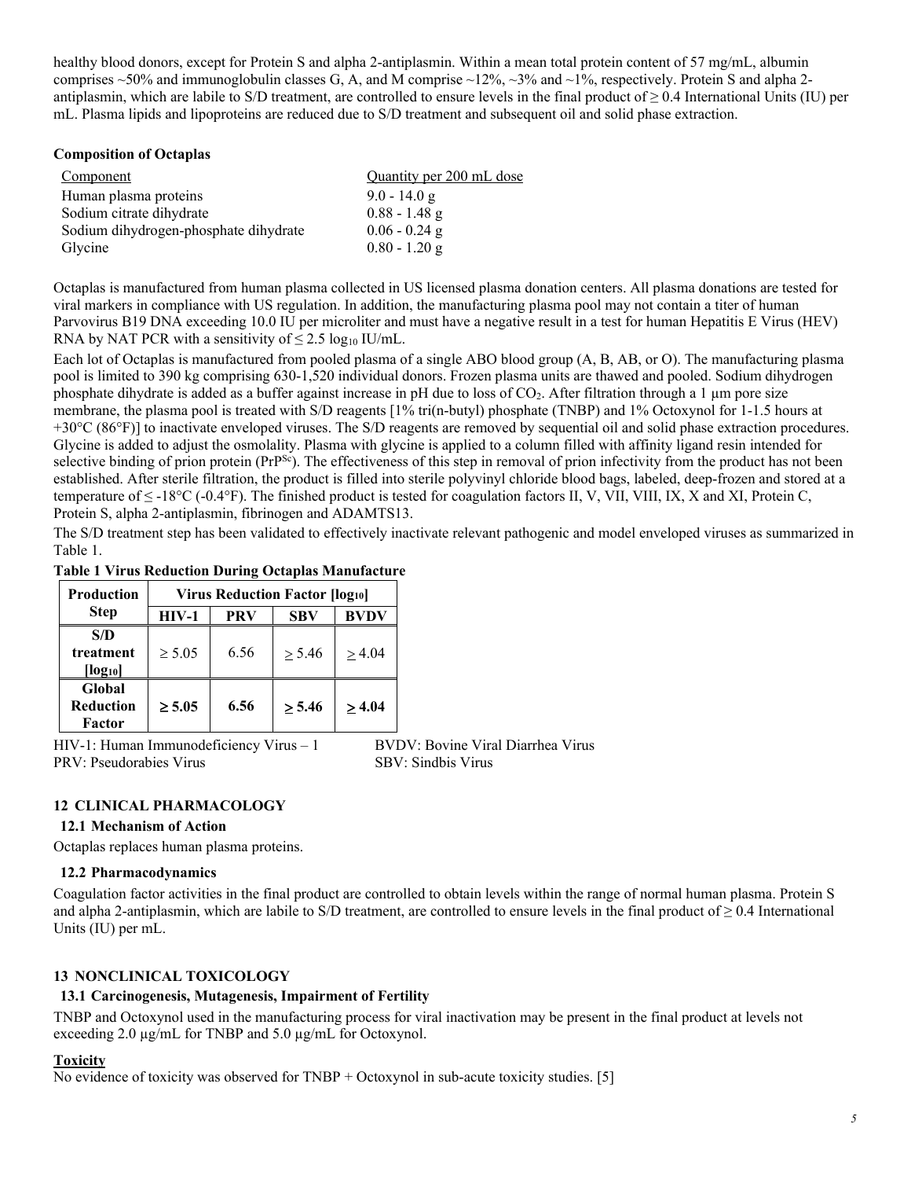healthy blood donors, except for Protein S and alpha 2-antiplasmin. Within a mean total protein content of 57 mg/mL, albumin comprises  $\sim$  50% and immunoglobulin classes G, A, and M comprise  $\sim$ 12%,  $\sim$ 3% and  $\sim$ 1%, respectively. Protein S and alpha 2antiplasmin, which are labile to S/D treatment, are controlled to ensure levels in the final product of  $\geq 0.4$  International Units (IU) per mL. Plasma lipids and lipoproteins are reduced due to S/D treatment and subsequent oil and solid phase extraction.

### **Composition of Octaplas**

| Component                             | Quantity per 200 mL dose |
|---------------------------------------|--------------------------|
| Human plasma proteins                 | $9.0 - 14.0 g$           |
| Sodium citrate dihydrate              | $0.88 - 1.48$ g          |
| Sodium dihydrogen-phosphate dihydrate | $0.06 - 0.24$ g          |
| Glycine                               | $0.80 - 1.20$ g          |

Octaplas is manufactured from human plasma collected in US licensed plasma donation centers. All plasma donations are tested for viral markers in compliance with US regulation. In addition, the manufacturing plasma pool may not contain a titer of human Parvovirus B19 DNA exceeding 10.0 IU per microliter and must have a negative result in a test for human Hepatitis E Virus (HEV) RNA by NAT PCR with a sensitivity of  $\leq 2.5 \log_{10}$  IU/mL.

Each lot of Octaplas is manufactured from pooled plasma of a single ABO blood group (A, B, AB, or O). The manufacturing plasma pool is limited to 390 kg comprising 630-1,520 individual donors. Frozen plasma units are thawed and pooled. Sodium dihydrogen phosphate dihydrate is added as a buffer against increase in pH due to loss of CO2. After filtration through a 1 µm pore size membrane, the plasma pool is treated with S/D reagents [1% tri(n-butyl) phosphate (TNBP) and 1% Octoxynol for 1-1.5 hours at +30°C (86°F)] to inactivate enveloped viruses. The S/D reagents are removed by sequential oil and solid phase extraction procedures. Glycine is added to adjust the osmolality. Plasma with glycine is applied to a column filled with affinity ligand resin intended for selective binding of prion protein  $(Pr^{Sc})$ . The effectiveness of this step in removal of prion infectivity from the product has not been established. After sterile filtration, the product is filled into sterile polyvinyl chloride blood bags, labeled, deep-frozen and stored at a temperature of  $\leq$  -18°C (-0.4°F). The finished product is tested for coagulation factors II, V, VII, VIII, IX, X and XI, Protein C, Protein S, alpha 2-antiplasmin, fibrinogen and ADAMTS13.

The S/D treatment step has been validated to effectively inactivate relevant pathogenic and model enveloped viruses as summarized in Table 1.

## **Table 1 Virus Reduction During Octaplas Manufacture**

| <b>Production</b>                | <b>Virus Reduction Factor [log10]</b> |            |            |             |
|----------------------------------|---------------------------------------|------------|------------|-------------|
| <b>Step</b>                      | $HIV-1$                               | <b>PRV</b> | <b>SBV</b> | <b>BVDV</b> |
| S/D<br>treatment<br>$[log_{10}]$ | $\geq 5.05$                           | 6.56       | > 5.46     | > 4.04      |
| Global<br>Reduction<br>Factor    | $\geq 5.05$                           | 6.56       | > 5.46     | >4.04       |

HIV-1: Human Immunodeficiency Virus - 1 BVDV: Bovine Viral Diarrhea Virus PRV: Pseudorabies Virus SBV: Sindbis Virus

# <span id="page-4-0"></span>**12 CLINICAL PHARMACOLOGY**

#### <span id="page-4-1"></span>**12.1 Mechanism of Action**

Octaplas replaces human plasma proteins.

#### <span id="page-4-2"></span>**12.2 Pharmacodynamics**

Coagulation factor activities in the final product are controlled to obtain levels within the range of normal human plasma. Protein S and alpha 2-antiplasmin, which are labile to S/D treatment, are controlled to ensure levels in the final product of  $\geq 0.4$  International Units (IU) per mL.

# <span id="page-4-3"></span>**13 NONCLINICAL TOXICOLOGY**

#### <span id="page-4-4"></span>**13.1 Carcinogenesis, Mutagenesis, Impairment of Fertility**

TNBP and Octoxynol used in the manufacturing process for viral inactivation may be present in the final product at levels not exceeding 2.0 µg/mL for TNBP and 5.0 µg/mL for Octoxynol.

### **Toxicity**

No evidence of toxicity was observed for TNBP  $+$  Octoxynol in sub-acute toxicity studies. [\[5\]](#page-7-6)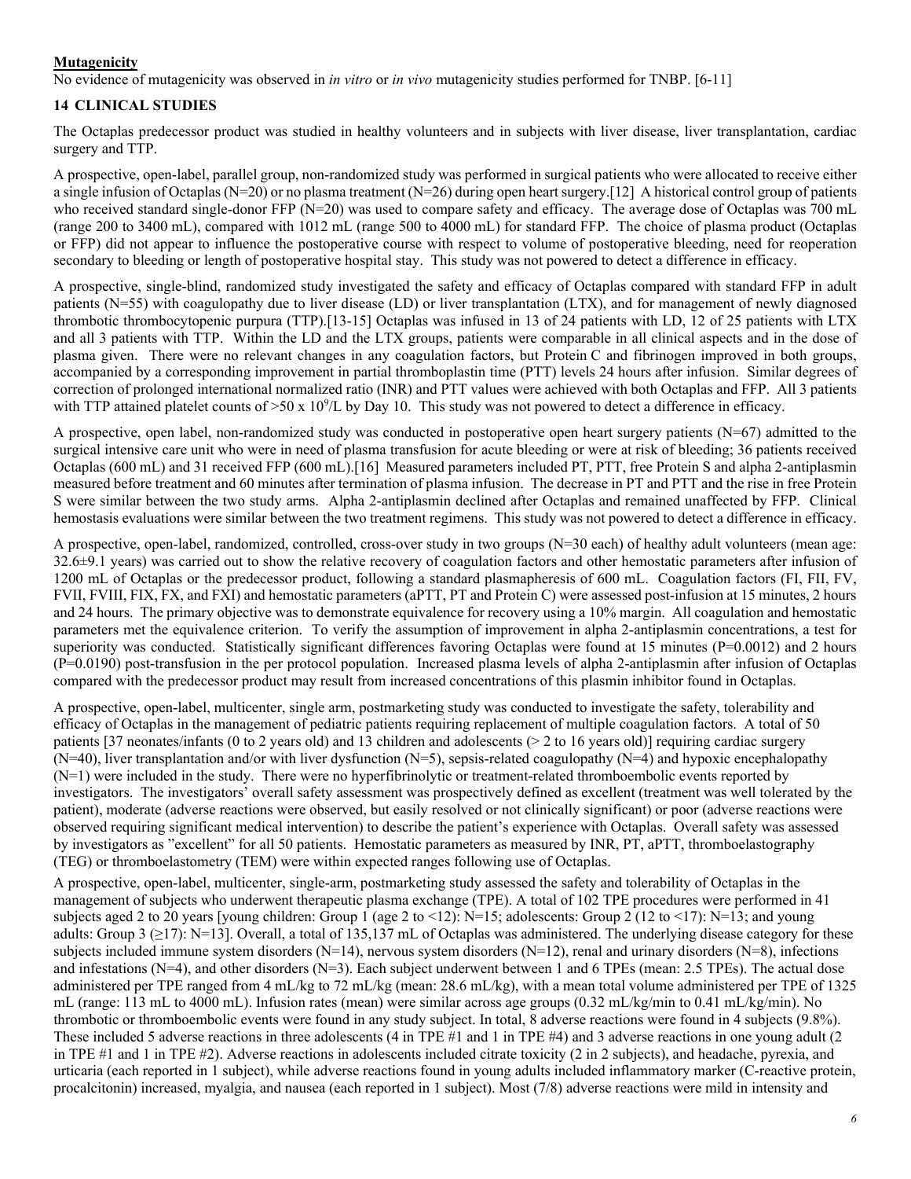# **Mutagenicity**

No evidence of mutagenicity was observed in *in vitro* or *in vivo* mutagenicity studies performed for TNBP. [\[6](#page-7-7)[-11\]](#page-7-8)

## <span id="page-5-0"></span>**14 CLINICAL STUDIES**

The Octaplas predecessor product was studied in healthy volunteers and in subjects with liver disease, liver transplantation, cardiac surgery and TTP.

A prospective, open-label, parallel group, non-randomized study was performed in surgical patients who were allocated to receive either a single infusion of Octaplas (N=20) or no plasma treatment (N=26) during open heart surgery.[\[12\]](#page-7-9) A historical control group of patients who received standard single-donor FFP (N=20) was used to compare safety and efficacy. The average dose of Octaplas was 700 mL (range 200 to 3400 mL), compared with 1012 mL (range 500 to 4000 mL) for standard FFP. The choice of plasma product (Octaplas or FFP) did not appear to influence the postoperative course with respect to volume of postoperative bleeding, need for reoperation secondary to bleeding or length of postoperative hospital stay. This study was not powered to detect a difference in efficacy.

A prospective, single-blind, randomized study investigated the safety and efficacy of Octaplas compared with standard FFP in adult patients (N=55) with coagulopathy due to liver disease (LD) or liver transplantation (LTX), and for management of newly diagnosed thrombotic thrombocytopenic purpura (TTP).[\[13](#page-7-10)[-15\]](#page-7-11) Octaplas was infused in 13 of 24 patients with LD, 12 of 25 patients with LTX and all 3 patients with TTP. Within the LD and the LTX groups, patients were comparable in all clinical aspects and in the dose of plasma given. There were no relevant changes in any coagulation factors, but Protein C and fibrinogen improved in both groups, accompanied by a corresponding improvement in partial thromboplastin time (PTT) levels 24 hours after infusion. Similar degrees of correction of prolonged international normalized ratio (INR) and PTT values were achieved with both Octaplas and FFP. All 3 patients with TTP attained platelet counts of  $>50$  x 10<sup>9</sup>/L by Day 10. This study was not powered to detect a difference in efficacy.

A prospective, open label, non-randomized study was conducted in postoperative open heart surgery patients (N=67) admitted to the surgical intensive care unit who were in need of plasma transfusion for acute bleeding or were at risk of bleeding; 36 patients received Octaplas (600 mL) and 31 received FFP (600 mL).[\[16\]](#page-7-12) Measured parameters included PT, PTT, free Protein S and alpha 2-antiplasmin measured before treatment and 60 minutes after termination of plasma infusion. The decrease in PT and PTT and the rise in free Protein S were similar between the two study arms. Alpha 2-antiplasmin declined after Octaplas and remained unaffected by FFP. Clinical hemostasis evaluations were similar between the two treatment regimens. This study was not powered to detect a difference in efficacy.

A prospective, open-label, randomized, controlled, cross-over study in two groups (N=30 each) of healthy adult volunteers (mean age: 32.6±9.1 years) was carried out to show the relative recovery of coagulation factors and other hemostatic parameters after infusion of 1200 mL of Octaplas or the predecessor product, following a standard plasmapheresis of 600 mL. Coagulation factors (FI, FII, FV, FVII, FVIII, FIX, FX, and FXI) and hemostatic parameters (aPTT, PT and Protein C) were assessed post-infusion at 15 minutes, 2 hours and 24 hours. The primary objective was to demonstrate equivalence for recovery using a 10% margin. All coagulation and hemostatic parameters met the equivalence criterion. To verify the assumption of improvement in alpha 2-antiplasmin concentrations, a test for superiority was conducted. Statistically significant differences favoring Octaplas were found at 15 minutes (P=0.0012) and 2 hours (P=0.0190) post-transfusion in the per protocol population. Increased plasma levels of alpha 2-antiplasmin after infusion of Octaplas compared with the predecessor product may result from increased concentrations of this plasmin inhibitor found in Octaplas.

A prospective, open-label, multicenter, single arm, postmarketing study was conducted to investigate the safety, tolerability and efficacy of Octaplas in the management of pediatric patients requiring replacement of multiple coagulation factors. A total of 50 patients [37 neonates/infants (0 to 2 years old) and 13 children and adolescents (> 2 to 16 years old)] requiring cardiac surgery  $(N=40)$ , liver transplantation and/or with liver dysfunction  $(N=5)$ , sepsis-related coagulopathy  $(N=4)$  and hypoxic encephalopathy (N=1) were included in the study. There were no hyperfibrinolytic or treatment-related thromboembolic events reported by investigators. The investigators' overall safety assessment was prospectively defined as excellent (treatment was well tolerated by the patient), moderate (adverse reactions were observed, but easily resolved or not clinically significant) or poor (adverse reactions were observed requiring significant medical intervention) to describe the patient's experience with Octaplas. Overall safety was assessed by investigators as "excellent" for all 50 patients. Hemostatic parameters as measured by INR, PT, aPTT, thromboelastography (TEG) or thromboelastometry (TEM) were within expected ranges following use of Octaplas.

A prospective, open-label, multicenter, single-arm, postmarketing study assessed the safety and tolerability of Octaplas in the management of subjects who underwent therapeutic plasma exchange (TPE). A total of 102 TPE procedures were performed in 41 subjects aged 2 to 20 years [young children: Group 1 (age 2 to <12): N=15; adolescents: Group 2 (12 to <17): N=13; and young adults: Group 3 ( $\geq$ 17): N=13]. Overall, a total of 135,137 mL of Octaplas was administered. The underlying disease category for these subjects included immune system disorders (N=14), nervous system disorders (N=12), renal and urinary disorders (N=8), infections and infestations (N=4), and other disorders (N=3). Each subject underwent between 1 and 6 TPEs (mean: 2.5 TPEs). The actual dose administered per TPE ranged from 4 mL/kg to 72 mL/kg (mean: 28.6 mL/kg), with a mean total volume administered per TPE of 1325 mL (range: 113 mL to 4000 mL). Infusion rates (mean) were similar across age groups (0.32 mL/kg/min to 0.41 mL/kg/min). No thrombotic or thromboembolic events were found in any study subject. In total, 8 adverse reactions were found in 4 subjects (9.8%). These included 5 adverse reactions in three adolescents (4 in TPE #1 and 1 in TPE #4) and 3 adverse reactions in one young adult (2 in TPE #1 and 1 in TPE #2). Adverse reactions in adolescents included citrate toxicity (2 in 2 subjects), and headache, pyrexia, and urticaria (each reported in 1 subject), while adverse reactions found in young adults included inflammatory marker (C-reactive protein, procalcitonin) increased, myalgia, and nausea (each reported in 1 subject). Most (7/8) adverse reactions were mild in intensity and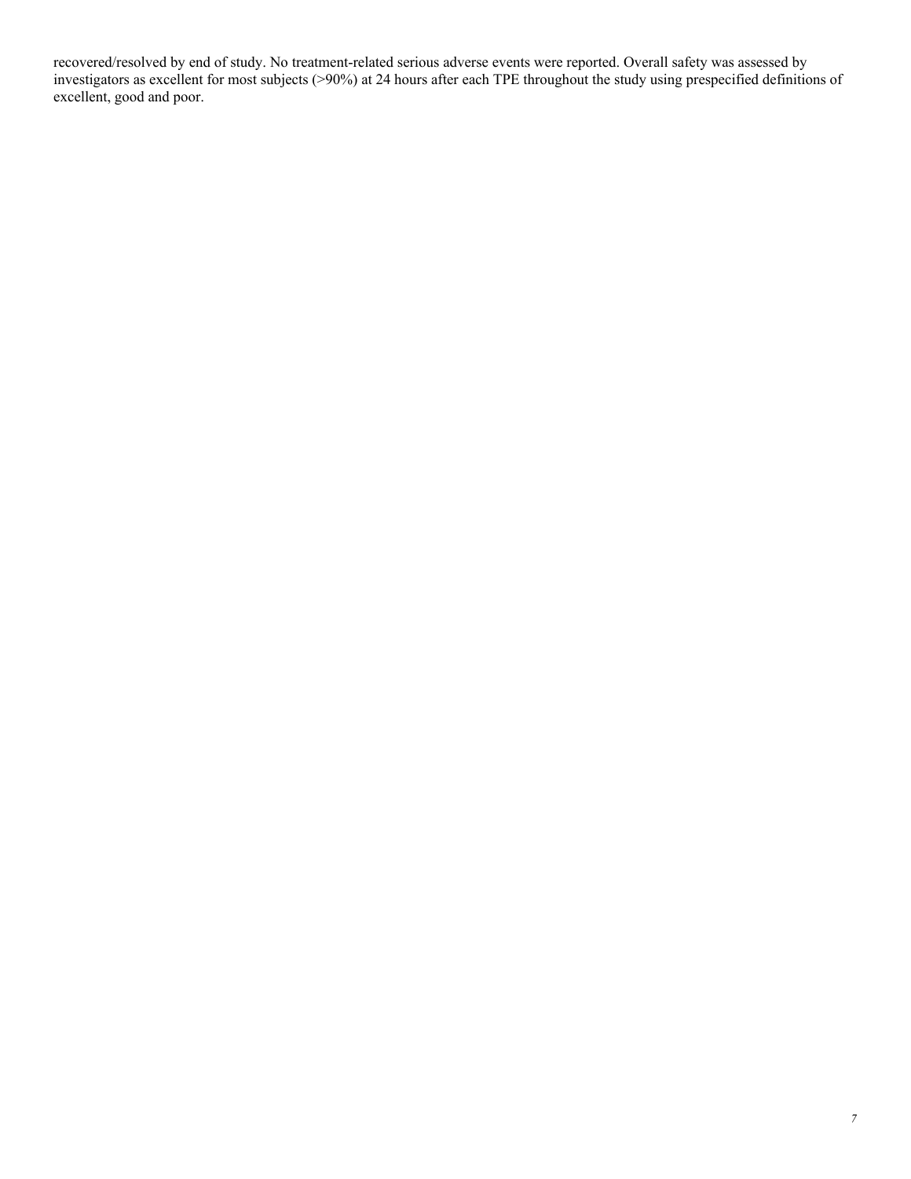recovered/resolved by end of study. No treatment-related serious adverse events were reported. Overall safety was assessed by investigators as excellent for most subjects (>90%) at 24 hours after each TPE throughout the study using prespecified definitions of excellent, good and poor.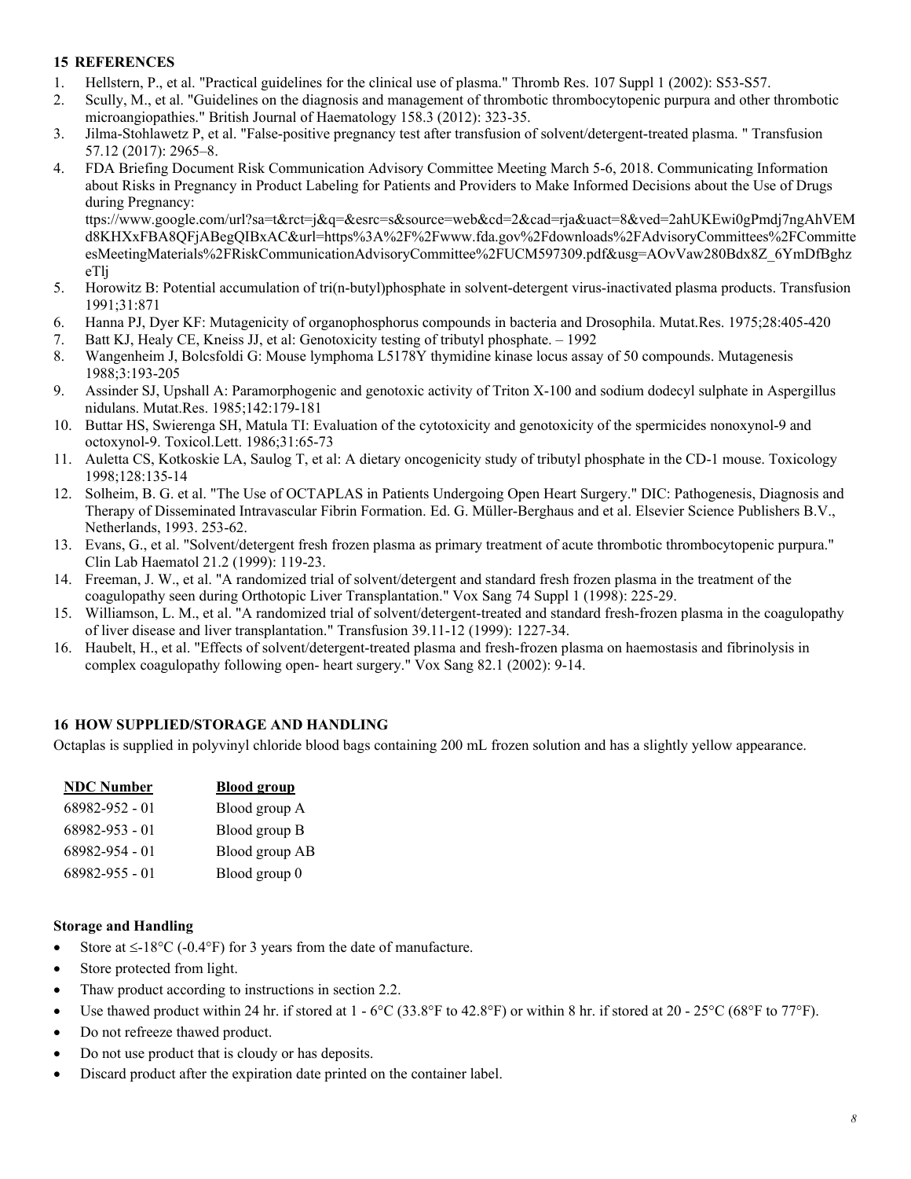## <span id="page-7-0"></span>**15 REFERENCES**

- <span id="page-7-2"></span>1. Hellstern, P., et al. "Practical guidelines for the clinical use of plasma." Thromb Res. 107 Suppl 1 (2002): S53-S57.
- <span id="page-7-3"></span>2. Scully, M., et al. "Guidelines on the diagnosis and management of thrombotic thrombocytopenic purpura and other thrombotic microangiopathies." British Journal of Haematology 158.3 (2012): 323-35.
- <span id="page-7-4"></span>3. Jilma-Stohlawetz P, et al. "False-positive pregnancy test after transfusion of solvent/detergent-treated plasma. " Transfusion 57.12 (2017): 2965–8.
- <span id="page-7-5"></span>4. FDA Briefing Document Risk Communication Advisory Committee Meeting March 5-6, 2018. Communicating Information about Risks in Pregnancy in Product Labeling for Patients and Providers to Make Informed Decisions about the Use of Drugs during Pregnancy:

ttps://www.google.com/url?sa=t&rct=j&q=&esrc=s&source=web&cd=2&cad=rja&uact=8&ved=2ahUKEwi0gPmdj7ngAhVEM d8KHXxFBA8QFjABegQIBxAC&url=https%3A%2F%2Fwww.fda.gov%2Fdownloads%2FAdvisoryCommittees%2FCommitte esMeetingMaterials%2FRiskCommunicationAdvisoryCommittee%2FUCM597309.pdf&usg=AOvVaw280Bdx8Z\_6YmDfBghz eTlj

- <span id="page-7-6"></span>5. Horowitz B: Potential accumulation of tri(n-butyl)phosphate in solvent-detergent virus-inactivated plasma products. Transfusion 1991;31:871
- <span id="page-7-7"></span>6. Hanna PJ, Dyer KF: Mutagenicity of organophosphorus compounds in bacteria and Drosophila. Mutat.Res. 1975;28:405-420
- 7. Batt KJ, Healy CE, Kneiss JJ, et al: Genotoxicity testing of tributyl phosphate. 1992
- 8. Wangenheim J, Bolcsfoldi G: Mouse lymphoma L5178Y thymidine kinase locus assay of 50 compounds. Mutagenesis 1988;3:193-205
- 9. Assinder SJ, Upshall A: Paramorphogenic and genotoxic activity of Triton X-100 and sodium dodecyl sulphate in Aspergillus nidulans. Mutat.Res. 1985;142:179-181
- 10. Buttar HS, Swierenga SH, Matula TI: Evaluation of the cytotoxicity and genotoxicity of the spermicides nonoxynol-9 and octoxynol-9. Toxicol.Lett. 1986;31:65-73
- <span id="page-7-8"></span>11. Auletta CS, Kotkoskie LA, Saulog T, et al: A dietary oncogenicity study of tributyl phosphate in the CD-1 mouse. Toxicology 1998;128:135-14
- <span id="page-7-9"></span>12. Solheim, B. G. et al. "The Use of OCTAPLAS in Patients Undergoing Open Heart Surgery." DIC: Pathogenesis, Diagnosis and Therapy of Disseminated Intravascular Fibrin Formation. Ed. G. Müller-Berghaus and et al. Elsevier Science Publishers B.V., Netherlands, 1993. 253-62.
- <span id="page-7-10"></span>13. Evans, G., et al. "Solvent/detergent fresh frozen plasma as primary treatment of acute thrombotic thrombocytopenic purpura." Clin Lab Haematol 21.2 (1999): 119-23.
- 14. Freeman, J. W., et al. "A randomized trial of solvent/detergent and standard fresh frozen plasma in the treatment of the coagulopathy seen during Orthotopic Liver Transplantation." Vox Sang 74 Suppl 1 (1998): 225-29.
- <span id="page-7-11"></span>15. Williamson, L. M., et al. "A randomized trial of solvent/detergent-treated and standard fresh-frozen plasma in the coagulopathy of liver disease and liver transplantation." Transfusion 39.11-12 (1999): 1227-34.
- <span id="page-7-12"></span>16. Haubelt, H., et al. "Effects of solvent/detergent-treated plasma and fresh-frozen plasma on haemostasis and fibrinolysis in complex coagulopathy following open- heart surgery." Vox Sang 82.1 (2002): 9-14.

# <span id="page-7-1"></span>**16 HOW SUPPLIED/STORAGE AND HANDLING**

Octaplas is supplied in polyvinyl chloride blood bags containing 200 mL frozen solution and has a slightly yellow appearance.

| <b>NDC</b> Number | <b>Blood group</b> |
|-------------------|--------------------|
| 68982-952 - 01    | Blood group A      |
| 68982-953 - 01    | Blood group B      |
| 68982-954 - 01    | Blood group AB     |
| 68982-955 - 01    | Blood group 0      |

#### **Storage and Handling**

- Store at  $\leq$ -18°C (-0.4°F) for 3 years from the date of manufacture.
- Store protected from light.
- Thaw product according to instructions in section 2.2.
- Use thawed product within 24 hr. if stored at  $1 6\degree C$  (33.8°F to 42.8°F) or within 8 hr. if stored at 20 25°C (68°F to 77°F).
- Do not refreeze thawed product.
- Do not use product that is cloudy or has deposits.
- Discard product after the expiration date printed on the container label.